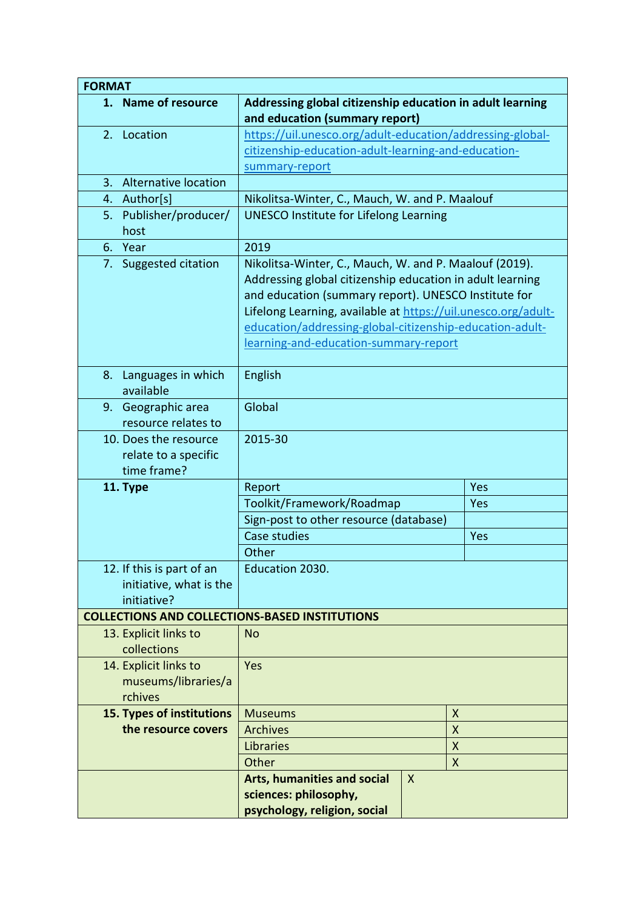| <b>FORMAT</b>                                                       |                                                                                                                                                                                                                                                                                                                                                   |     |  |
|---------------------------------------------------------------------|---------------------------------------------------------------------------------------------------------------------------------------------------------------------------------------------------------------------------------------------------------------------------------------------------------------------------------------------------|-----|--|
| 1. Name of resource                                                 | Addressing global citizenship education in adult learning                                                                                                                                                                                                                                                                                         |     |  |
|                                                                     | and education (summary report)                                                                                                                                                                                                                                                                                                                    |     |  |
| 2. Location                                                         | https://uil.unesco.org/adult-education/addressing-global-                                                                                                                                                                                                                                                                                         |     |  |
|                                                                     | citizenship-education-adult-learning-and-education-                                                                                                                                                                                                                                                                                               |     |  |
|                                                                     | summary-report                                                                                                                                                                                                                                                                                                                                    |     |  |
| Alternative location<br>3.                                          |                                                                                                                                                                                                                                                                                                                                                   |     |  |
| Author[s]<br>4.                                                     | Nikolitsa-Winter, C., Mauch, W. and P. Maalouf                                                                                                                                                                                                                                                                                                    |     |  |
| 5. Publisher/producer/<br>host                                      | <b>UNESCO Institute for Lifelong Learning</b>                                                                                                                                                                                                                                                                                                     |     |  |
| 6. Year                                                             | 2019                                                                                                                                                                                                                                                                                                                                              |     |  |
| 7. Suggested citation                                               | Nikolitsa-Winter, C., Mauch, W. and P. Maalouf (2019).<br>Addressing global citizenship education in adult learning<br>and education (summary report). UNESCO Institute for<br>Lifelong Learning, available at https://uil.unesco.org/adult-<br>education/addressing-global-citizenship-education-adult-<br>learning-and-education-summary-report |     |  |
| Languages in which<br>8.<br>available                               | English                                                                                                                                                                                                                                                                                                                                           |     |  |
| 9. Geographic area                                                  | Global                                                                                                                                                                                                                                                                                                                                            |     |  |
| resource relates to                                                 |                                                                                                                                                                                                                                                                                                                                                   |     |  |
| 10. Does the resource<br>relate to a specific<br>time frame?        | 2015-30                                                                                                                                                                                                                                                                                                                                           |     |  |
| 11. Type                                                            | Report<br>Yes                                                                                                                                                                                                                                                                                                                                     |     |  |
|                                                                     | Toolkit/Framework/Roadmap<br>Yes                                                                                                                                                                                                                                                                                                                  |     |  |
|                                                                     | Sign-post to other resource (database)                                                                                                                                                                                                                                                                                                            |     |  |
|                                                                     | Case studies                                                                                                                                                                                                                                                                                                                                      | Yes |  |
|                                                                     | Other                                                                                                                                                                                                                                                                                                                                             |     |  |
| 12. If this is part of an<br>initiative, what is the<br>initiative? | Education 2030.                                                                                                                                                                                                                                                                                                                                   |     |  |
| <b>COLLECTIONS AND COLLECTIONS-BASED INSTITUTIONS</b>               |                                                                                                                                                                                                                                                                                                                                                   |     |  |
| 13. Explicit links to<br>collections                                | No                                                                                                                                                                                                                                                                                                                                                |     |  |
| 14. Explicit links to                                               | Yes                                                                                                                                                                                                                                                                                                                                               |     |  |
| museums/libraries/a<br>rchives                                      |                                                                                                                                                                                                                                                                                                                                                   |     |  |
| 15. Types of institutions                                           | X<br><b>Museums</b>                                                                                                                                                                                                                                                                                                                               |     |  |
| the resource covers                                                 | <b>Archives</b><br>$\mathsf{X}$                                                                                                                                                                                                                                                                                                                   |     |  |
|                                                                     | Libraries<br>$\pmb{\mathsf{X}}$                                                                                                                                                                                                                                                                                                                   |     |  |
|                                                                     | Other<br>$\boldsymbol{X}$                                                                                                                                                                                                                                                                                                                         |     |  |
|                                                                     | <b>Arts, humanities and social</b><br>$\mathsf{X}$<br>sciences: philosophy,<br>psychology, religion, social                                                                                                                                                                                                                                       |     |  |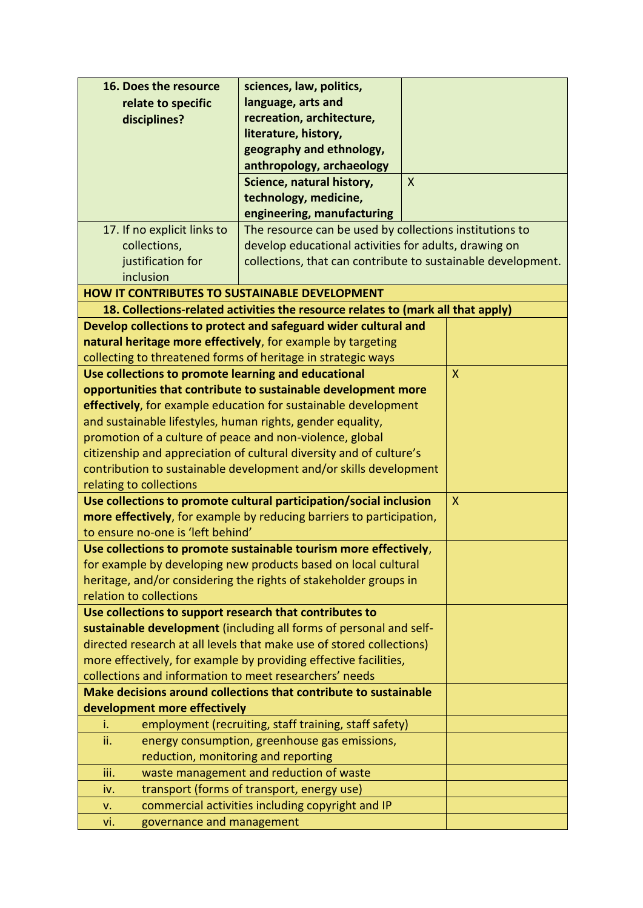| 16. Does the resource                                                                        | sciences, law, politics,                                                         |              |              |
|----------------------------------------------------------------------------------------------|----------------------------------------------------------------------------------|--------------|--------------|
| relate to specific                                                                           | language, arts and                                                               |              |              |
| disciplines?                                                                                 | recreation, architecture,                                                        |              |              |
|                                                                                              | literature, history,                                                             |              |              |
|                                                                                              | geography and ethnology,                                                         |              |              |
|                                                                                              | anthropology, archaeology                                                        |              |              |
|                                                                                              | Science, natural history,                                                        | $\mathsf{X}$ |              |
|                                                                                              | technology, medicine,                                                            |              |              |
|                                                                                              | engineering, manufacturing                                                       |              |              |
| 17. If no explicit links to                                                                  | The resource can be used by collections institutions to                          |              |              |
| collections,                                                                                 | develop educational activities for adults, drawing on                            |              |              |
| justification for                                                                            | collections, that can contribute to sustainable development.                     |              |              |
| inclusion                                                                                    |                                                                                  |              |              |
| <b>HOW IT CONTRIBUTES TO SUSTAINABLE DEVELOPMENT</b>                                         |                                                                                  |              |              |
|                                                                                              | 18. Collections-related activities the resource relates to (mark all that apply) |              |              |
|                                                                                              | Develop collections to protect and safeguard wider cultural and                  |              |              |
|                                                                                              | natural heritage more effectively, for example by targeting                      |              |              |
|                                                                                              | collecting to threatened forms of heritage in strategic ways                     |              |              |
| Use collections to promote learning and educational                                          |                                                                                  |              | $\mathsf{X}$ |
|                                                                                              | opportunities that contribute to sustainable development more                    |              |              |
|                                                                                              | effectively, for example education for sustainable development                   |              |              |
| and sustainable lifestyles, human rights, gender equality,                                   |                                                                                  |              |              |
| promotion of a culture of peace and non-violence, global                                     |                                                                                  |              |              |
| citizenship and appreciation of cultural diversity and of culture's                          |                                                                                  |              |              |
| contribution to sustainable development and/or skills development<br>relating to collections |                                                                                  |              |              |
| Use collections to promote cultural participation/social inclusion<br>X                      |                                                                                  |              |              |
| more effectively, for example by reducing barriers to participation,                         |                                                                                  |              |              |
| to ensure no-one is 'left behind'                                                            |                                                                                  |              |              |
|                                                                                              | Use collections to promote sustainable tourism more effectively,                 |              |              |
|                                                                                              | for example by developing new products based on local cultural                   |              |              |
|                                                                                              | heritage, and/or considering the rights of stakeholder groups in                 |              |              |
| relation to collections                                                                      |                                                                                  |              |              |
| Use collections to support research that contributes to                                      |                                                                                  |              |              |
|                                                                                              | sustainable development (including all forms of personal and self-               |              |              |
|                                                                                              | directed research at all levels that make use of stored collections)             |              |              |
|                                                                                              | more effectively, for example by providing effective facilities,                 |              |              |
| collections and information to meet researchers' needs                                       |                                                                                  |              |              |
| Make decisions around collections that contribute to sustainable                             |                                                                                  |              |              |
| development more effectively                                                                 |                                                                                  |              |              |
| i.                                                                                           | employment (recruiting, staff training, staff safety)                            |              |              |
| ii.                                                                                          | energy consumption, greenhouse gas emissions,                                    |              |              |
| reduction, monitoring and reporting                                                          |                                                                                  |              |              |
| iii.                                                                                         | waste management and reduction of waste                                          |              |              |
| iv.                                                                                          | transport (forms of transport, energy use)                                       |              |              |
| v.                                                                                           | commercial activities including copyright and IP                                 |              |              |
| governance and management<br>vi.                                                             |                                                                                  |              |              |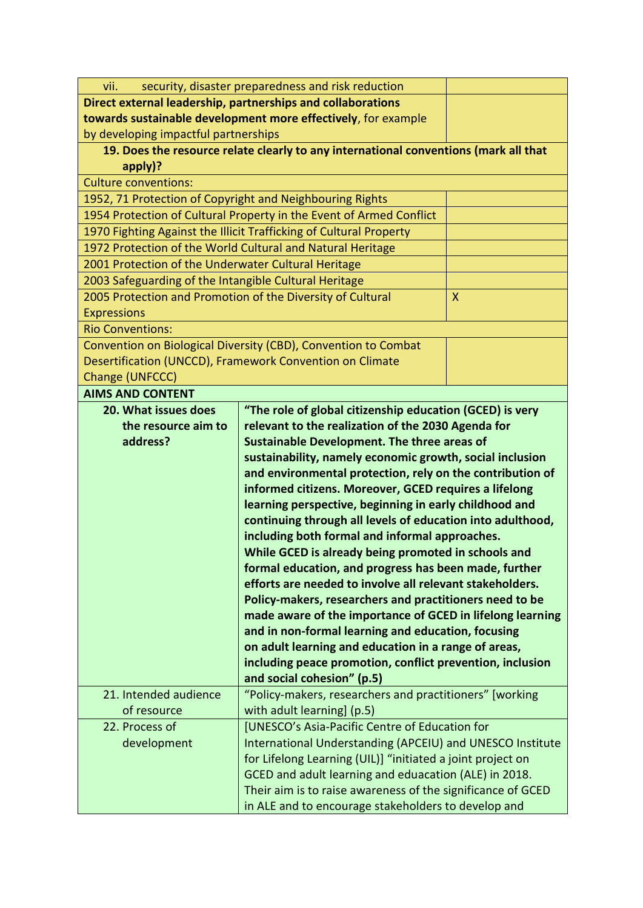| Direct external leadership, partnerships and collaborations<br>towards sustainable development more effectively, for example<br>by developing impactful partnerships<br>19. Does the resource relate clearly to any international conventions (mark all that<br>apply)?<br><b>Culture conventions:</b><br>1952, 71 Protection of Copyright and Neighbouring Rights<br>1954 Protection of Cultural Property in the Event of Armed Conflict<br>1970 Fighting Against the Illicit Trafficking of Cultural Property<br>1972 Protection of the World Cultural and Natural Heritage<br>2001 Protection of the Underwater Cultural Heritage<br>2003 Safeguarding of the Intangible Cultural Heritage<br>2005 Protection and Promotion of the Diversity of Cultural<br>X<br><b>Expressions</b><br><b>Rio Conventions:</b><br>Convention on Biological Diversity (CBD), Convention to Combat<br>Desertification (UNCCD), Framework Convention on Climate<br>Change (UNFCCC)<br><b>AIMS AND CONTENT</b><br>"The role of global citizenship education (GCED) is very<br>20. What issues does<br>relevant to the realization of the 2030 Agenda for<br>the resource aim to<br>address?<br><b>Sustainable Development. The three areas of</b><br>sustainability, namely economic growth, social inclusion<br>and environmental protection, rely on the contribution of<br>informed citizens. Moreover, GCED requires a lifelong<br>learning perspective, beginning in early childhood and<br>continuing through all levels of education into adulthood,<br>including both formal and informal approaches.<br>While GCED is already being promoted in schools and |  |  |  |
|-----------------------------------------------------------------------------------------------------------------------------------------------------------------------------------------------------------------------------------------------------------------------------------------------------------------------------------------------------------------------------------------------------------------------------------------------------------------------------------------------------------------------------------------------------------------------------------------------------------------------------------------------------------------------------------------------------------------------------------------------------------------------------------------------------------------------------------------------------------------------------------------------------------------------------------------------------------------------------------------------------------------------------------------------------------------------------------------------------------------------------------------------------------------------------------------------------------------------------------------------------------------------------------------------------------------------------------------------------------------------------------------------------------------------------------------------------------------------------------------------------------------------------------------------------------------------------------------------------------------------------------------------------|--|--|--|
|                                                                                                                                                                                                                                                                                                                                                                                                                                                                                                                                                                                                                                                                                                                                                                                                                                                                                                                                                                                                                                                                                                                                                                                                                                                                                                                                                                                                                                                                                                                                                                                                                                                     |  |  |  |
|                                                                                                                                                                                                                                                                                                                                                                                                                                                                                                                                                                                                                                                                                                                                                                                                                                                                                                                                                                                                                                                                                                                                                                                                                                                                                                                                                                                                                                                                                                                                                                                                                                                     |  |  |  |
|                                                                                                                                                                                                                                                                                                                                                                                                                                                                                                                                                                                                                                                                                                                                                                                                                                                                                                                                                                                                                                                                                                                                                                                                                                                                                                                                                                                                                                                                                                                                                                                                                                                     |  |  |  |
|                                                                                                                                                                                                                                                                                                                                                                                                                                                                                                                                                                                                                                                                                                                                                                                                                                                                                                                                                                                                                                                                                                                                                                                                                                                                                                                                                                                                                                                                                                                                                                                                                                                     |  |  |  |
|                                                                                                                                                                                                                                                                                                                                                                                                                                                                                                                                                                                                                                                                                                                                                                                                                                                                                                                                                                                                                                                                                                                                                                                                                                                                                                                                                                                                                                                                                                                                                                                                                                                     |  |  |  |
|                                                                                                                                                                                                                                                                                                                                                                                                                                                                                                                                                                                                                                                                                                                                                                                                                                                                                                                                                                                                                                                                                                                                                                                                                                                                                                                                                                                                                                                                                                                                                                                                                                                     |  |  |  |
|                                                                                                                                                                                                                                                                                                                                                                                                                                                                                                                                                                                                                                                                                                                                                                                                                                                                                                                                                                                                                                                                                                                                                                                                                                                                                                                                                                                                                                                                                                                                                                                                                                                     |  |  |  |
|                                                                                                                                                                                                                                                                                                                                                                                                                                                                                                                                                                                                                                                                                                                                                                                                                                                                                                                                                                                                                                                                                                                                                                                                                                                                                                                                                                                                                                                                                                                                                                                                                                                     |  |  |  |
|                                                                                                                                                                                                                                                                                                                                                                                                                                                                                                                                                                                                                                                                                                                                                                                                                                                                                                                                                                                                                                                                                                                                                                                                                                                                                                                                                                                                                                                                                                                                                                                                                                                     |  |  |  |
|                                                                                                                                                                                                                                                                                                                                                                                                                                                                                                                                                                                                                                                                                                                                                                                                                                                                                                                                                                                                                                                                                                                                                                                                                                                                                                                                                                                                                                                                                                                                                                                                                                                     |  |  |  |
|                                                                                                                                                                                                                                                                                                                                                                                                                                                                                                                                                                                                                                                                                                                                                                                                                                                                                                                                                                                                                                                                                                                                                                                                                                                                                                                                                                                                                                                                                                                                                                                                                                                     |  |  |  |
|                                                                                                                                                                                                                                                                                                                                                                                                                                                                                                                                                                                                                                                                                                                                                                                                                                                                                                                                                                                                                                                                                                                                                                                                                                                                                                                                                                                                                                                                                                                                                                                                                                                     |  |  |  |
|                                                                                                                                                                                                                                                                                                                                                                                                                                                                                                                                                                                                                                                                                                                                                                                                                                                                                                                                                                                                                                                                                                                                                                                                                                                                                                                                                                                                                                                                                                                                                                                                                                                     |  |  |  |
|                                                                                                                                                                                                                                                                                                                                                                                                                                                                                                                                                                                                                                                                                                                                                                                                                                                                                                                                                                                                                                                                                                                                                                                                                                                                                                                                                                                                                                                                                                                                                                                                                                                     |  |  |  |
|                                                                                                                                                                                                                                                                                                                                                                                                                                                                                                                                                                                                                                                                                                                                                                                                                                                                                                                                                                                                                                                                                                                                                                                                                                                                                                                                                                                                                                                                                                                                                                                                                                                     |  |  |  |
|                                                                                                                                                                                                                                                                                                                                                                                                                                                                                                                                                                                                                                                                                                                                                                                                                                                                                                                                                                                                                                                                                                                                                                                                                                                                                                                                                                                                                                                                                                                                                                                                                                                     |  |  |  |
|                                                                                                                                                                                                                                                                                                                                                                                                                                                                                                                                                                                                                                                                                                                                                                                                                                                                                                                                                                                                                                                                                                                                                                                                                                                                                                                                                                                                                                                                                                                                                                                                                                                     |  |  |  |
|                                                                                                                                                                                                                                                                                                                                                                                                                                                                                                                                                                                                                                                                                                                                                                                                                                                                                                                                                                                                                                                                                                                                                                                                                                                                                                                                                                                                                                                                                                                                                                                                                                                     |  |  |  |
|                                                                                                                                                                                                                                                                                                                                                                                                                                                                                                                                                                                                                                                                                                                                                                                                                                                                                                                                                                                                                                                                                                                                                                                                                                                                                                                                                                                                                                                                                                                                                                                                                                                     |  |  |  |
|                                                                                                                                                                                                                                                                                                                                                                                                                                                                                                                                                                                                                                                                                                                                                                                                                                                                                                                                                                                                                                                                                                                                                                                                                                                                                                                                                                                                                                                                                                                                                                                                                                                     |  |  |  |
|                                                                                                                                                                                                                                                                                                                                                                                                                                                                                                                                                                                                                                                                                                                                                                                                                                                                                                                                                                                                                                                                                                                                                                                                                                                                                                                                                                                                                                                                                                                                                                                                                                                     |  |  |  |
|                                                                                                                                                                                                                                                                                                                                                                                                                                                                                                                                                                                                                                                                                                                                                                                                                                                                                                                                                                                                                                                                                                                                                                                                                                                                                                                                                                                                                                                                                                                                                                                                                                                     |  |  |  |
|                                                                                                                                                                                                                                                                                                                                                                                                                                                                                                                                                                                                                                                                                                                                                                                                                                                                                                                                                                                                                                                                                                                                                                                                                                                                                                                                                                                                                                                                                                                                                                                                                                                     |  |  |  |
|                                                                                                                                                                                                                                                                                                                                                                                                                                                                                                                                                                                                                                                                                                                                                                                                                                                                                                                                                                                                                                                                                                                                                                                                                                                                                                                                                                                                                                                                                                                                                                                                                                                     |  |  |  |
|                                                                                                                                                                                                                                                                                                                                                                                                                                                                                                                                                                                                                                                                                                                                                                                                                                                                                                                                                                                                                                                                                                                                                                                                                                                                                                                                                                                                                                                                                                                                                                                                                                                     |  |  |  |
|                                                                                                                                                                                                                                                                                                                                                                                                                                                                                                                                                                                                                                                                                                                                                                                                                                                                                                                                                                                                                                                                                                                                                                                                                                                                                                                                                                                                                                                                                                                                                                                                                                                     |  |  |  |
|                                                                                                                                                                                                                                                                                                                                                                                                                                                                                                                                                                                                                                                                                                                                                                                                                                                                                                                                                                                                                                                                                                                                                                                                                                                                                                                                                                                                                                                                                                                                                                                                                                                     |  |  |  |
|                                                                                                                                                                                                                                                                                                                                                                                                                                                                                                                                                                                                                                                                                                                                                                                                                                                                                                                                                                                                                                                                                                                                                                                                                                                                                                                                                                                                                                                                                                                                                                                                                                                     |  |  |  |
|                                                                                                                                                                                                                                                                                                                                                                                                                                                                                                                                                                                                                                                                                                                                                                                                                                                                                                                                                                                                                                                                                                                                                                                                                                                                                                                                                                                                                                                                                                                                                                                                                                                     |  |  |  |
| formal education, and progress has been made, further                                                                                                                                                                                                                                                                                                                                                                                                                                                                                                                                                                                                                                                                                                                                                                                                                                                                                                                                                                                                                                                                                                                                                                                                                                                                                                                                                                                                                                                                                                                                                                                               |  |  |  |
| efforts are needed to involve all relevant stakeholders.                                                                                                                                                                                                                                                                                                                                                                                                                                                                                                                                                                                                                                                                                                                                                                                                                                                                                                                                                                                                                                                                                                                                                                                                                                                                                                                                                                                                                                                                                                                                                                                            |  |  |  |
| Policy-makers, researchers and practitioners need to be                                                                                                                                                                                                                                                                                                                                                                                                                                                                                                                                                                                                                                                                                                                                                                                                                                                                                                                                                                                                                                                                                                                                                                                                                                                                                                                                                                                                                                                                                                                                                                                             |  |  |  |
| made aware of the importance of GCED in lifelong learning                                                                                                                                                                                                                                                                                                                                                                                                                                                                                                                                                                                                                                                                                                                                                                                                                                                                                                                                                                                                                                                                                                                                                                                                                                                                                                                                                                                                                                                                                                                                                                                           |  |  |  |
| and in non-formal learning and education, focusing                                                                                                                                                                                                                                                                                                                                                                                                                                                                                                                                                                                                                                                                                                                                                                                                                                                                                                                                                                                                                                                                                                                                                                                                                                                                                                                                                                                                                                                                                                                                                                                                  |  |  |  |
| on adult learning and education in a range of areas,                                                                                                                                                                                                                                                                                                                                                                                                                                                                                                                                                                                                                                                                                                                                                                                                                                                                                                                                                                                                                                                                                                                                                                                                                                                                                                                                                                                                                                                                                                                                                                                                |  |  |  |
| including peace promotion, conflict prevention, inclusion                                                                                                                                                                                                                                                                                                                                                                                                                                                                                                                                                                                                                                                                                                                                                                                                                                                                                                                                                                                                                                                                                                                                                                                                                                                                                                                                                                                                                                                                                                                                                                                           |  |  |  |
| and social cohesion" (p.5)                                                                                                                                                                                                                                                                                                                                                                                                                                                                                                                                                                                                                                                                                                                                                                                                                                                                                                                                                                                                                                                                                                                                                                                                                                                                                                                                                                                                                                                                                                                                                                                                                          |  |  |  |
| "Policy-makers, researchers and practitioners" [working<br>21. Intended audience                                                                                                                                                                                                                                                                                                                                                                                                                                                                                                                                                                                                                                                                                                                                                                                                                                                                                                                                                                                                                                                                                                                                                                                                                                                                                                                                                                                                                                                                                                                                                                    |  |  |  |
| of resource<br>with adult learning] (p.5)                                                                                                                                                                                                                                                                                                                                                                                                                                                                                                                                                                                                                                                                                                                                                                                                                                                                                                                                                                                                                                                                                                                                                                                                                                                                                                                                                                                                                                                                                                                                                                                                           |  |  |  |
| [UNESCO's Asia-Pacific Centre of Education for<br>22. Process of                                                                                                                                                                                                                                                                                                                                                                                                                                                                                                                                                                                                                                                                                                                                                                                                                                                                                                                                                                                                                                                                                                                                                                                                                                                                                                                                                                                                                                                                                                                                                                                    |  |  |  |
| development<br>International Understanding (APCEIU) and UNESCO Institute<br>for Lifelong Learning (UIL)] "initiated a joint project on                                                                                                                                                                                                                                                                                                                                                                                                                                                                                                                                                                                                                                                                                                                                                                                                                                                                                                                                                                                                                                                                                                                                                                                                                                                                                                                                                                                                                                                                                                              |  |  |  |
|                                                                                                                                                                                                                                                                                                                                                                                                                                                                                                                                                                                                                                                                                                                                                                                                                                                                                                                                                                                                                                                                                                                                                                                                                                                                                                                                                                                                                                                                                                                                                                                                                                                     |  |  |  |
| GCED and adult learning and eduacation (ALE) in 2018.<br>Their aim is to raise awareness of the significance of GCED                                                                                                                                                                                                                                                                                                                                                                                                                                                                                                                                                                                                                                                                                                                                                                                                                                                                                                                                                                                                                                                                                                                                                                                                                                                                                                                                                                                                                                                                                                                                |  |  |  |
| in ALE and to encourage stakeholders to develop and                                                                                                                                                                                                                                                                                                                                                                                                                                                                                                                                                                                                                                                                                                                                                                                                                                                                                                                                                                                                                                                                                                                                                                                                                                                                                                                                                                                                                                                                                                                                                                                                 |  |  |  |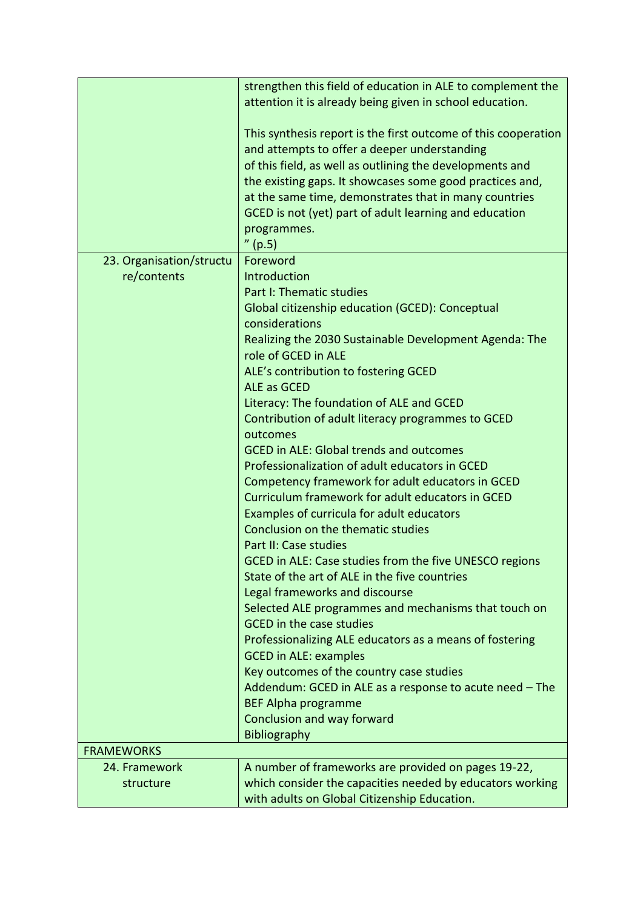|                                    | strengthen this field of education in ALE to complement the<br>attention it is already being given in school education.                                                                                                                                                                                                                                                             |
|------------------------------------|-------------------------------------------------------------------------------------------------------------------------------------------------------------------------------------------------------------------------------------------------------------------------------------------------------------------------------------------------------------------------------------|
|                                    | This synthesis report is the first outcome of this cooperation<br>and attempts to offer a deeper understanding<br>of this field, as well as outlining the developments and<br>the existing gaps. It showcases some good practices and,<br>at the same time, demonstrates that in many countries<br>GCED is not (yet) part of adult learning and education<br>programmes.<br>''(p.5) |
| 23. Organisation/structu           | Foreword                                                                                                                                                                                                                                                                                                                                                                            |
| re/contents                        | Introduction                                                                                                                                                                                                                                                                                                                                                                        |
|                                    | Part I: Thematic studies                                                                                                                                                                                                                                                                                                                                                            |
|                                    | Global citizenship education (GCED): Conceptual<br>considerations                                                                                                                                                                                                                                                                                                                   |
|                                    | Realizing the 2030 Sustainable Development Agenda: The                                                                                                                                                                                                                                                                                                                              |
|                                    | role of GCED in ALE                                                                                                                                                                                                                                                                                                                                                                 |
|                                    | ALE's contribution to fostering GCED                                                                                                                                                                                                                                                                                                                                                |
|                                    | <b>ALE as GCED</b>                                                                                                                                                                                                                                                                                                                                                                  |
|                                    | Literacy: The foundation of ALE and GCED                                                                                                                                                                                                                                                                                                                                            |
|                                    | Contribution of adult literacy programmes to GCED                                                                                                                                                                                                                                                                                                                                   |
|                                    | outcomes                                                                                                                                                                                                                                                                                                                                                                            |
|                                    | <b>GCED in ALE: Global trends and outcomes</b>                                                                                                                                                                                                                                                                                                                                      |
|                                    | Professionalization of adult educators in GCED<br>Competency framework for adult educators in GCED                                                                                                                                                                                                                                                                                  |
|                                    | Curriculum framework for adult educators in GCED                                                                                                                                                                                                                                                                                                                                    |
|                                    | Examples of curricula for adult educators                                                                                                                                                                                                                                                                                                                                           |
|                                    | Conclusion on the thematic studies                                                                                                                                                                                                                                                                                                                                                  |
|                                    | Part II: Case studies                                                                                                                                                                                                                                                                                                                                                               |
|                                    | GCED in ALE: Case studies from the five UNESCO regions                                                                                                                                                                                                                                                                                                                              |
|                                    | State of the art of ALE in the five countries                                                                                                                                                                                                                                                                                                                                       |
|                                    | Legal frameworks and discourse                                                                                                                                                                                                                                                                                                                                                      |
|                                    | Selected ALE programmes and mechanisms that touch on<br><b>GCED</b> in the case studies                                                                                                                                                                                                                                                                                             |
|                                    | Professionalizing ALE educators as a means of fostering                                                                                                                                                                                                                                                                                                                             |
|                                    | <b>GCED in ALE: examples</b>                                                                                                                                                                                                                                                                                                                                                        |
|                                    | Key outcomes of the country case studies                                                                                                                                                                                                                                                                                                                                            |
|                                    | Addendum: GCED in ALE as a response to acute need - The                                                                                                                                                                                                                                                                                                                             |
|                                    | <b>BEF Alpha programme</b>                                                                                                                                                                                                                                                                                                                                                          |
|                                    | Conclusion and way forward                                                                                                                                                                                                                                                                                                                                                          |
|                                    | <b>Bibliography</b>                                                                                                                                                                                                                                                                                                                                                                 |
| <b>FRAMEWORKS</b><br>24. Framework | A number of frameworks are provided on pages 19-22,                                                                                                                                                                                                                                                                                                                                 |
| structure                          | which consider the capacities needed by educators working                                                                                                                                                                                                                                                                                                                           |
|                                    | with adults on Global Citizenship Education.                                                                                                                                                                                                                                                                                                                                        |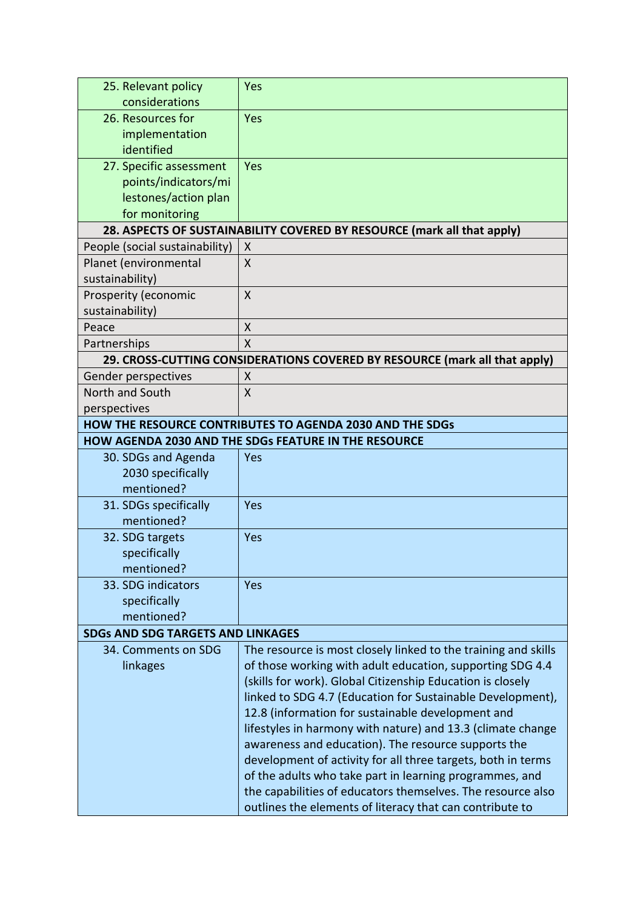| 25. Relevant policy                      | Yes                                                                        |  |  |
|------------------------------------------|----------------------------------------------------------------------------|--|--|
| considerations                           |                                                                            |  |  |
| 26. Resources for                        | Yes                                                                        |  |  |
| implementation                           |                                                                            |  |  |
| identified                               |                                                                            |  |  |
| 27. Specific assessment                  | Yes                                                                        |  |  |
| points/indicators/mi                     |                                                                            |  |  |
| lestones/action plan                     |                                                                            |  |  |
| for monitoring                           |                                                                            |  |  |
|                                          | 28. ASPECTS OF SUSTAINABILITY COVERED BY RESOURCE (mark all that apply)    |  |  |
| People (social sustainability)           | X                                                                          |  |  |
| Planet (environmental                    | X                                                                          |  |  |
| sustainability)                          |                                                                            |  |  |
| Prosperity (economic                     | $\sf X$                                                                    |  |  |
| sustainability)                          |                                                                            |  |  |
| Peace                                    | X                                                                          |  |  |
| Partnerships                             | $\overline{\mathsf{X}}$                                                    |  |  |
|                                          | 29. CROSS-CUTTING CONSIDERATIONS COVERED BY RESOURCE (mark all that apply) |  |  |
| Gender perspectives                      | Χ                                                                          |  |  |
| North and South                          | X                                                                          |  |  |
| perspectives                             |                                                                            |  |  |
|                                          | HOW THE RESOURCE CONTRIBUTES TO AGENDA 2030 AND THE SDGs                   |  |  |
|                                          | <b>HOW AGENDA 2030 AND THE SDGs FEATURE IN THE RESOURCE</b>                |  |  |
| 30. SDGs and Agenda                      | Yes                                                                        |  |  |
| 2030 specifically                        |                                                                            |  |  |
| mentioned?                               |                                                                            |  |  |
| 31. SDGs specifically                    | Yes                                                                        |  |  |
| mentioned?                               |                                                                            |  |  |
| 32. SDG targets                          | Yes                                                                        |  |  |
| specifically                             |                                                                            |  |  |
| mentioned?                               |                                                                            |  |  |
| 33. SDG indicators                       | Yes                                                                        |  |  |
| specifically                             |                                                                            |  |  |
| mentioned?                               |                                                                            |  |  |
| <b>SDGs AND SDG TARGETS AND LINKAGES</b> |                                                                            |  |  |
| 34. Comments on SDG                      | The resource is most closely linked to the training and skills             |  |  |
| linkages                                 | of those working with adult education, supporting SDG 4.4                  |  |  |
|                                          | (skills for work). Global Citizenship Education is closely                 |  |  |
|                                          | linked to SDG 4.7 (Education for Sustainable Development),                 |  |  |
|                                          | 12.8 (information for sustainable development and                          |  |  |
|                                          | lifestyles in harmony with nature) and 13.3 (climate change                |  |  |
|                                          | awareness and education). The resource supports the                        |  |  |
|                                          | development of activity for all three targets, both in terms               |  |  |
|                                          | of the adults who take part in learning programmes, and                    |  |  |
|                                          | the capabilities of educators themselves. The resource also                |  |  |
|                                          | outlines the elements of literacy that can contribute to                   |  |  |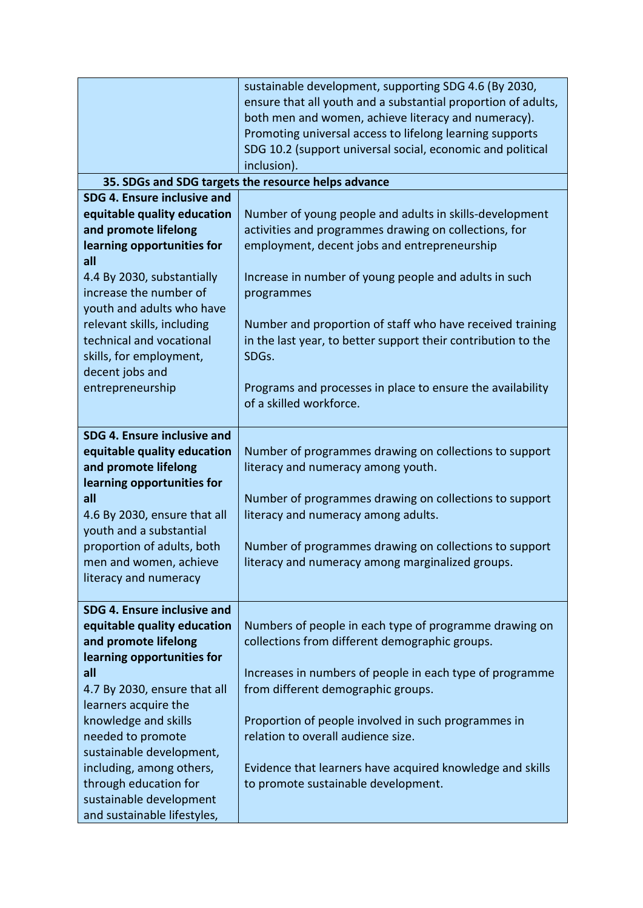|                                                                                                                                                                                                                                                                                                                                          | sustainable development, supporting SDG 4.6 (By 2030,<br>ensure that all youth and a substantial proportion of adults,<br>both men and women, achieve literacy and numeracy).<br>Promoting universal access to lifelong learning supports<br>SDG 10.2 (support universal social, economic and political<br>inclusion).                                                                                      |
|------------------------------------------------------------------------------------------------------------------------------------------------------------------------------------------------------------------------------------------------------------------------------------------------------------------------------------------|-------------------------------------------------------------------------------------------------------------------------------------------------------------------------------------------------------------------------------------------------------------------------------------------------------------------------------------------------------------------------------------------------------------|
|                                                                                                                                                                                                                                                                                                                                          | 35. SDGs and SDG targets the resource helps advance                                                                                                                                                                                                                                                                                                                                                         |
| SDG 4. Ensure inclusive and<br>equitable quality education<br>and promote lifelong<br>learning opportunities for<br>all<br>4.4 By 2030, substantially<br>increase the number of<br>youth and adults who have<br>relevant skills, including<br>technical and vocational<br>skills, for employment,<br>decent jobs and<br>entrepreneurship | Number of young people and adults in skills-development<br>activities and programmes drawing on collections, for<br>employment, decent jobs and entrepreneurship<br>Increase in number of young people and adults in such<br>programmes<br>Number and proportion of staff who have received training<br>in the last year, to better support their contribution to the<br>SDGs.                              |
| SDG 4. Ensure inclusive and<br>equitable quality education<br>and promote lifelong<br>learning opportunities for<br>all<br>4.6 By 2030, ensure that all<br>youth and a substantial<br>proportion of adults, both<br>men and women, achieve<br>literacy and numeracy<br>SDG 4. Ensure inclusive and                                       | Programs and processes in place to ensure the availability<br>of a skilled workforce.<br>Number of programmes drawing on collections to support<br>literacy and numeracy among youth.<br>Number of programmes drawing on collections to support<br>literacy and numeracy among adults.<br>Number of programmes drawing on collections to support<br>literacy and numeracy among marginalized groups.        |
| equitable quality education<br>and promote lifelong<br>learning opportunities for<br>all<br>4.7 By 2030, ensure that all<br>learners acquire the<br>knowledge and skills<br>needed to promote<br>sustainable development,<br>including, among others,<br>through education for<br>sustainable development<br>and sustainable lifestyles, | Numbers of people in each type of programme drawing on<br>collections from different demographic groups.<br>Increases in numbers of people in each type of programme<br>from different demographic groups.<br>Proportion of people involved in such programmes in<br>relation to overall audience size.<br>Evidence that learners have acquired knowledge and skills<br>to promote sustainable development. |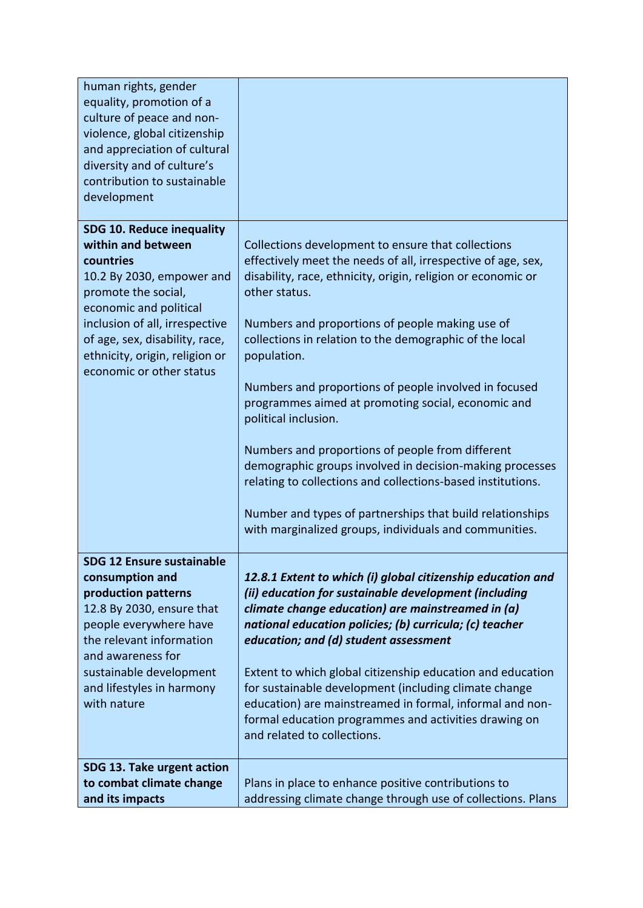| human rights, gender<br>equality, promotion of a<br>culture of peace and non-<br>violence, global citizenship<br>and appreciation of cultural<br>diversity and of culture's<br>contribution to sustainable<br>development                                                           |                                                                                                                                                                                                                                                                                                                                                                                                                                                                                                                                                                                                                                                                                                                                                                               |
|-------------------------------------------------------------------------------------------------------------------------------------------------------------------------------------------------------------------------------------------------------------------------------------|-------------------------------------------------------------------------------------------------------------------------------------------------------------------------------------------------------------------------------------------------------------------------------------------------------------------------------------------------------------------------------------------------------------------------------------------------------------------------------------------------------------------------------------------------------------------------------------------------------------------------------------------------------------------------------------------------------------------------------------------------------------------------------|
| <b>SDG 10. Reduce inequality</b><br>within and between<br>countries<br>10.2 By 2030, empower and<br>promote the social,<br>economic and political<br>inclusion of all, irrespective<br>of age, sex, disability, race,<br>ethnicity, origin, religion or<br>economic or other status | Collections development to ensure that collections<br>effectively meet the needs of all, irrespective of age, sex,<br>disability, race, ethnicity, origin, religion or economic or<br>other status.<br>Numbers and proportions of people making use of<br>collections in relation to the demographic of the local<br>population.<br>Numbers and proportions of people involved in focused<br>programmes aimed at promoting social, economic and<br>political inclusion.<br>Numbers and proportions of people from different<br>demographic groups involved in decision-making processes<br>relating to collections and collections-based institutions.<br>Number and types of partnerships that build relationships<br>with marginalized groups, individuals and communities. |
| <b>SDG 12 Ensure sustainable</b><br>consumption and<br>production patterns<br>12.8 By 2030, ensure that<br>people everywhere have<br>the relevant information<br>and awareness for<br>sustainable development<br>and lifestyles in harmony<br>with nature                           | 12.8.1 Extent to which (i) global citizenship education and<br>(ii) education for sustainable development (including<br>climate change education) are mainstreamed in (a)<br>national education policies; (b) curricula; (c) teacher<br>education; and (d) student assessment<br>Extent to which global citizenship education and education<br>for sustainable development (including climate change<br>education) are mainstreamed in formal, informal and non-<br>formal education programmes and activities drawing on<br>and related to collections.                                                                                                                                                                                                                      |
| SDG 13. Take urgent action<br>to combat climate change<br>and its impacts                                                                                                                                                                                                           | Plans in place to enhance positive contributions to<br>addressing climate change through use of collections. Plans                                                                                                                                                                                                                                                                                                                                                                                                                                                                                                                                                                                                                                                            |